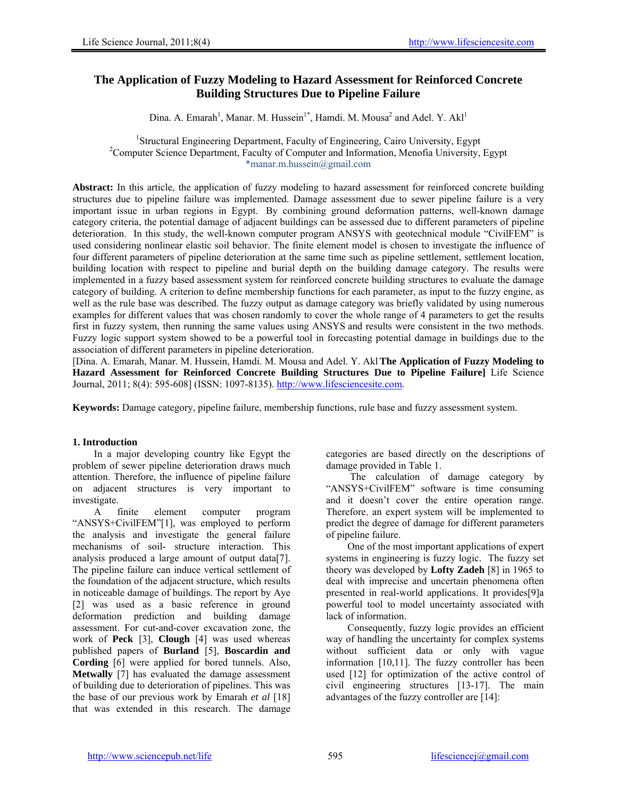# **The Application of Fuzzy Modeling to Hazard Assessment for Reinforced Concrete Building Structures Due to Pipeline Failure**

Dina. A. Emarah<sup>1</sup>, Manar. M. Hussein<sup>1\*</sup>, Hamdi. M. Mousa<sup>2</sup> and Adel. Y. Akl<sup>1</sup>

<sup>1</sup>Structural Engineering Department, Faculty of Engineering, Cairo University, Egypt<sup>2</sup>Computer Science Department, Faculty of Computer and Information, Manofia University <sup>2</sup>Computer Science Department, Faculty of Computer and Information, Menofia University, Egypt \*manar.m.hussein@gmail.com

**Abstract:** In this article, the application of fuzzy modeling to hazard assessment for reinforced concrete building structures due to pipeline failure was implemented. Damage assessment due to sewer pipeline failure is a very important issue in urban regions in Egypt. By combining ground deformation patterns, well-known damage category criteria, the potential damage of adjacent buildings can be assessed due to different parameters of pipeline deterioration. In this study, the well-known computer program ANSYS with geotechnical module "CivilFEM" is used considering nonlinear elastic soil behavior. The finite element model is chosen to investigate the influence of four different parameters of pipeline deterioration at the same time such as pipeline settlement, settlement location, building location with respect to pipeline and burial depth on the building damage category. The results were implemented in a fuzzy based assessment system for reinforced concrete building structures to evaluate the damage category of building. A criterion to define membership functions for each parameter, as input to the fuzzy engine, as well as the rule base was described. The fuzzy output as damage category was briefly validated by using numerous examples for different values that was chosen randomly to cover the whole range of 4 parameters to get the results first in fuzzy system, then running the same values using ANSYS and results were consistent in the two methods. Fuzzy logic support system showed to be a powerful tool in forecasting potential damage in buildings due to the association of different parameters in pipeline deterioration.

[Dina. A. Emarah, Manar. M. Hussein, Hamdi. M. Mousa and Adel. Y. Akl**The Application of Fuzzy Modeling to Hazard Assessment for Reinforced Concrete Building Structures Due to Pipeline Failure]** Life Science Journal, 2011; 8(4): 595-608] (ISSN: 1097-8135). http://www.lifesciencesite.com.

**Keywords:** Damage category, pipeline failure, membership functions, rule base and fuzzy assessment system.

# **1. Introduction**

In a major developing country like Egypt the problem of sewer pipeline deterioration draws much attention. Therefore, the influence of pipeline failure on adjacent structures is very important to investigate.

A finite element computer program "ANSYS+CivilFEM"[1], was employed to perform the analysis and investigate the general failure mechanisms of soil- structure interaction. This analysis produced a large amount of output data[7]. The pipeline failure can induce vertical settlement of the foundation of the adjacent structure, which results in noticeable damage of buildings. The report by Aye [2] was used as a basic reference in ground deformation prediction and building damage assessment. For cut-and-cover excavation zone, the work of **Peck** [3], **Clough** [4] was used whereas published papers of **Burland** [5], **Boscardin and Cording** [6] were applied for bored tunnels. Also, **Metwally** [7] has evaluated the damage assessment of building due to deterioration of pipelines. This was the base of our previous work by Emarah *et al* [18] that was extended in this research. The damage

categories are based directly on the descriptions of damage provided in Table 1.

 The calculation of damage category by "ANSYS+CivilFEM" software is time consuming and it doesn't cover the entire operation range. Therefore, an expert system will be implemented to predict the degree of damage for different parameters of pipeline failure.

One of the most important applications of expert systems in engineering is fuzzy logic. The fuzzy set theory was developed by **Lofty Zadeh** [8] in 1965 to deal with imprecise and uncertain phenomena often presented in real-world applications. It provides[9]a powerful tool to model uncertainty associated with lack of information.

Consequently, fuzzy logic provides an efficient way of handling the uncertainty for complex systems without sufficient data or only with vague information [10,11]. The fuzzy controller has been used [12] for optimization of the active control of civil engineering structures [13-17]. The main advantages of the fuzzy controller are [14]: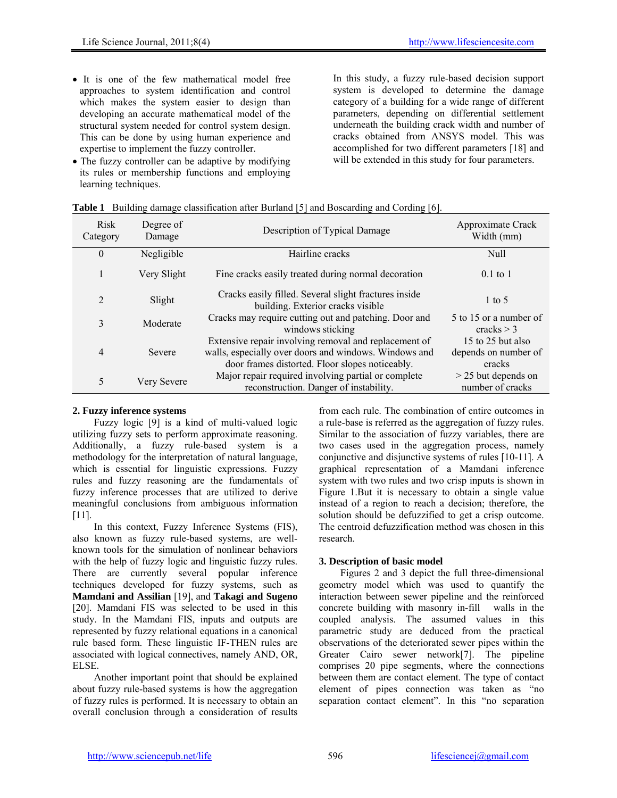- It is one of the few mathematical model free approaches to system identification and control which makes the system easier to design than developing an accurate mathematical model of the structural system needed for control system design. This can be done by using human experience and expertise to implement the fuzzy controller.
- The fuzzy controller can be adaptive by modifying its rules or membership functions and employing learning techniques.

 In this study, a fuzzy rule-based decision support system is developed to determine the damage category of a building for a wide range of different parameters, depending on differential settlement underneath the building crack width and number of cracks obtained from ANSYS model. This was accomplished for two different parameters [18] and will be extended in this study for four parameters.

| Risk<br>Category | Degree of<br>Damage | Description of Typical Damage                                                                                                                                     | Approximate Crack<br>Width (mm)                     |
|------------------|---------------------|-------------------------------------------------------------------------------------------------------------------------------------------------------------------|-----------------------------------------------------|
| $\theta$         | Negligible          | Hairline cracks                                                                                                                                                   | Null                                                |
|                  | Very Slight         | Fine cracks easily treated during normal decoration                                                                                                               | $0.1$ to 1                                          |
| $\overline{2}$   | Slight              | Cracks easily filled. Several slight fractures inside<br>building. Exterior cracks visible                                                                        | $1$ to 5                                            |
| 3                | Moderate            | Cracks may require cutting out and patching. Door and<br>windows sticking                                                                                         | 5 to 15 or a number of<br>cracks $>$ 3              |
| 4                | Severe              | Extensive repair involving removal and replacement of<br>walls, especially over doors and windows. Windows and<br>door frames distorted. Floor slopes noticeably. | 15 to 25 but also<br>depends on number of<br>cracks |
| 5                | Very Severe         | Major repair required involving partial or complete<br>reconstruction. Danger of instability.                                                                     | $>$ 25 but depends on<br>number of cracks           |

| <b>Table 1</b> Building damage classification after Burland [5] and Boscarding and Cording [6]. |  |  |  |  |
|-------------------------------------------------------------------------------------------------|--|--|--|--|
|                                                                                                 |  |  |  |  |
|                                                                                                 |  |  |  |  |
|                                                                                                 |  |  |  |  |

# **2. Fuzzy inference systems**

Fuzzy logic [9] is a kind of multi-valued logic utilizing fuzzy sets to perform approximate reasoning. Additionally, a fuzzy rule-based system is a methodology for the interpretation of natural language, which is essential for linguistic expressions. Fuzzy rules and fuzzy reasoning are the fundamentals of fuzzy inference processes that are utilized to derive meaningful conclusions from ambiguous information [11].

In this context, Fuzzy Inference Systems (FIS), also known as fuzzy rule-based systems, are wellknown tools for the simulation of nonlinear behaviors with the help of fuzzy logic and linguistic fuzzy rules. There are currently several popular inference techniques developed for fuzzy systems, such as **Mamdani and Assilian** [19], and **Takagi and Sugeno** [20]. Mamdani FIS was selected to be used in this study. In the Mamdani FIS, inputs and outputs are represented by fuzzy relational equations in a canonical rule based form. These linguistic IF-THEN rules are associated with logical connectives, namely AND, OR, ELSE.

Another important point that should be explained about fuzzy rule-based systems is how the aggregation of fuzzy rules is performed. It is necessary to obtain an overall conclusion through a consideration of results from each rule. The combination of entire outcomes in a rule-base is referred as the aggregation of fuzzy rules. Similar to the association of fuzzy variables, there are two cases used in the aggregation process, namely conjunctive and disjunctive systems of rules [10-11]. A graphical representation of a Mamdani inference system with two rules and two crisp inputs is shown in Figure 1.But it is necessary to obtain a single value instead of a region to reach a decision; therefore, the solution should be defuzzified to get a crisp outcome. The centroid defuzzification method was chosen in this research.

# **3. Description of basic model**

Figures 2 and 3 depict the full three-dimensional geometry model which was used to quantify the interaction between sewer pipeline and the reinforced concrete building with masonry in-fill walls in the coupled analysis. The assumed values in this parametric study are deduced from the practical observations of the deteriorated sewer pipes within the Greater Cairo sewer network<sup>[7]</sup>. The pipeline comprises 20 pipe segments, where the connections between them are contact element. The type of contact element of pipes connection was taken as "no separation contact element". In this "no separation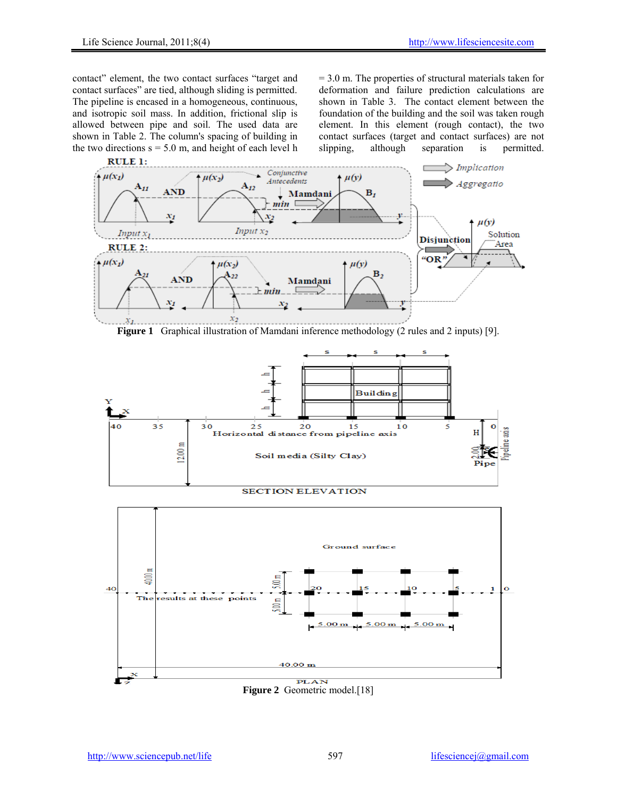contact" element, the two contact surfaces "target and contact surfaces" are tied, although sliding is permitted. The pipeline is encased in a homogeneous, continuous, and isotropic soil mass. In addition, frictional slip is allowed between pipe and soil. The used data are shown in Table 2. The column's spacing of building in the two directions  $s = 5.0$  m, and height of each level h = 3.0 m. The properties of structural materials taken for deformation and failure prediction calculations are shown in Table 3. The contact element between the foundation of the building and the soil was taken rough element. In this element (rough contact), the two contact surfaces (target and contact surfaces) are not slipping, although separation is permitted.



**Figure 1** Graphical illustration of Mamdani inference methodology (2 rules and 2 inputs) [9].



#### **SECTION ELEVATION**



**Figure 2** Geometric model.[18]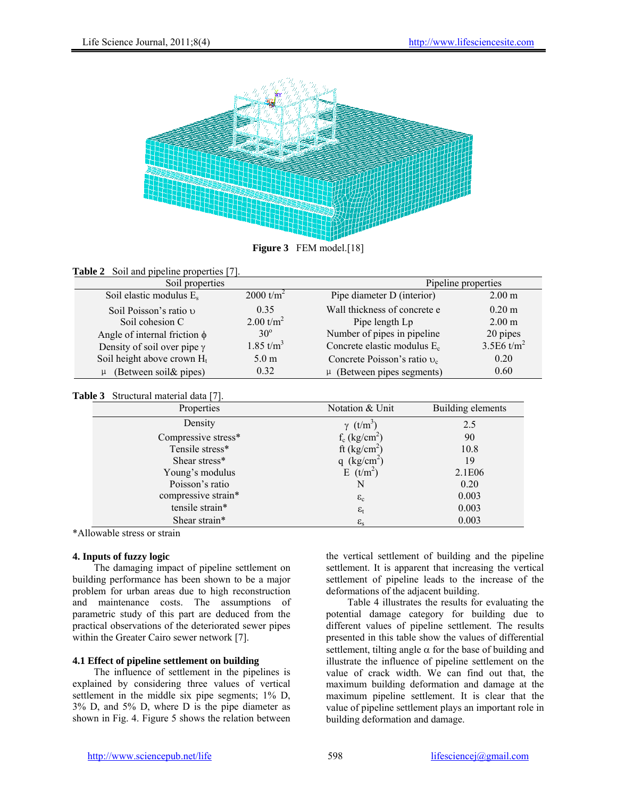

**Figure 3** FEM model.[18]

| <b>Table 2</b> Soil and pipeline properties [7]. |  |  |
|--------------------------------------------------|--|--|
|--------------------------------------------------|--|--|

| Soil properties                    |                  | Pipeline properties                     |                   |  |  |
|------------------------------------|------------------|-----------------------------------------|-------------------|--|--|
| Soil elastic modulus $E_s$         | $2000 t/m^2$     | Pipe diameter D (interior)              | 2.00 <sub>m</sub> |  |  |
| Soil Poisson's ratio v             | 0.35             | Wall thickness of concrete e            | $0.20 \text{ m}$  |  |  |
| Soil cohesion C                    | 2.00 $t/m^2$     | Pipe length Lp                          | 2.00 <sub>m</sub> |  |  |
| Angle of internal friction $\phi$  | $30^\circ$       | Number of pipes in pipeline             | 20 pipes          |  |  |
| Density of soil over pipe $\gamma$ | 1.85 t/ $m^3$    | Concrete elastic modulus E <sub>c</sub> | 3.5E6 $t/m^2$     |  |  |
| Soil height above crown $H_t$      | 5.0 <sub>m</sub> | Concrete Poisson's ratio $v_c$          | 0.20              |  |  |
| $\mu$ (Between soil & pipes)       | 0.32             | $\mu$ (Between pipes segments)          | 0.60              |  |  |

# **Table 3** Structural material data [7].

| <br>50.48           |                              |                   |
|---------------------|------------------------------|-------------------|
| Properties          | Notation & Unit              | Building elements |
| Density             | $\gamma$ (t/m <sup>3</sup> ) | 2.5               |
| Compressive stress* | $f_c$ (kg/cm <sup>2</sup> )  | 90                |
| Tensile stress*     | ft (kg/cm <sup>2</sup> )     | 10.8              |
| Shear stress*       | q $(kg/cm^2)$                | 19                |
| Young's modulus     | $E(t/m^2)$                   | 2.1E06            |
| Poisson's ratio     | N                            | 0.20              |
| compressive strain* | $\varepsilon_c$              | 0.003             |
| tensile strain*     | $\varepsilon_{t}$            | 0.003             |
| Shear strain*       | $\varepsilon_{\rm s}$        | 0.003             |

\*Allowable stress or strain

# **4. Inputs of fuzzy logic**

The damaging impact of pipeline settlement on building performance has been shown to be a major problem for urban areas due to high reconstruction and maintenance costs. The assumptions of parametric study of this part are deduced from the practical observations of the deteriorated sewer pipes within the Greater Cairo sewer network [7].

# **4.1 Effect of pipeline settlement on building**

The influence of settlement in the pipelines is explained by considering three values of vertical settlement in the middle six pipe segments;  $1\%$  D, 3% D, and 5% D, where D is the pipe diameter as shown in Fig. 4. Figure 5 shows the relation between

the vertical settlement of building and the pipeline settlement. It is apparent that increasing the vertical settlement of pipeline leads to the increase of the deformations of the adjacent building.

Table 4 illustrates the results for evaluating the potential damage category for building due to different values of pipeline settlement. The results presented in this table show the values of differential settlement, tilting angle  $\alpha$  for the base of building and illustrate the influence of pipeline settlement on the value of crack width. We can find out that, the maximum building deformation and damage at the maximum pipeline settlement. It is clear that the value of pipeline settlement plays an important role in building deformation and damage.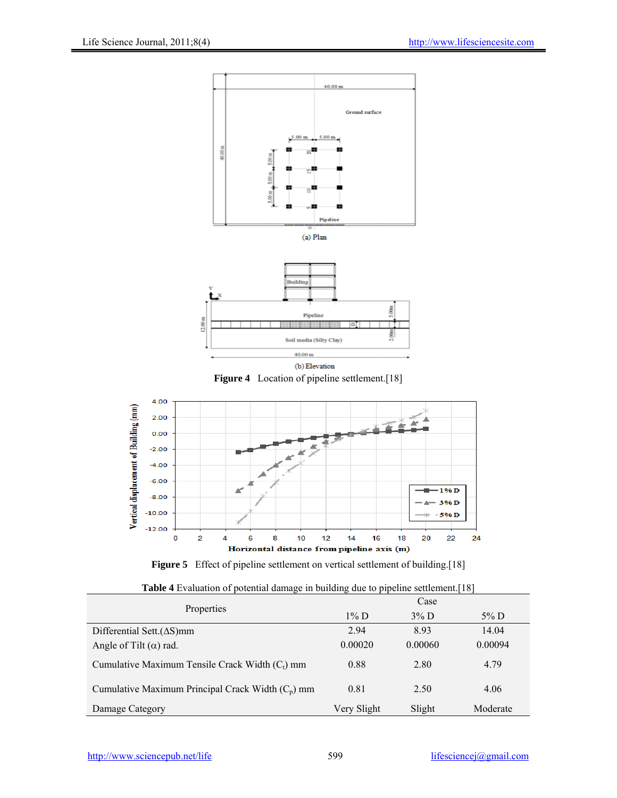

(b) Elevation **Figure 4** Location of pipeline settlement.[18]





| <b>Table 4</b> Evaluation of potential damage in building due to pipeline settlement.[18] |  |  |
|-------------------------------------------------------------------------------------------|--|--|
|-------------------------------------------------------------------------------------------|--|--|

| Properties                                          | $1\%$ D     | $3\%$ D | $5\%$ D  |
|-----------------------------------------------------|-------------|---------|----------|
| Differential Sett. $( \Delta S)$ mm                 | 2.94        | 893     | 14.04    |
| Angle of Tilt $(\alpha)$ rad.                       | 0.00020     | 0.00060 | 0.00094  |
| Cumulative Maximum Tensile Crack Width $(C_t)$ mm   | 0.88        | 2.80    | 4.79     |
| Cumulative Maximum Principal Crack Width $(C_p)$ mm | 0.81        | 2.50    | 4.06     |
| Damage Category                                     | Very Slight | Slight  | Moderate |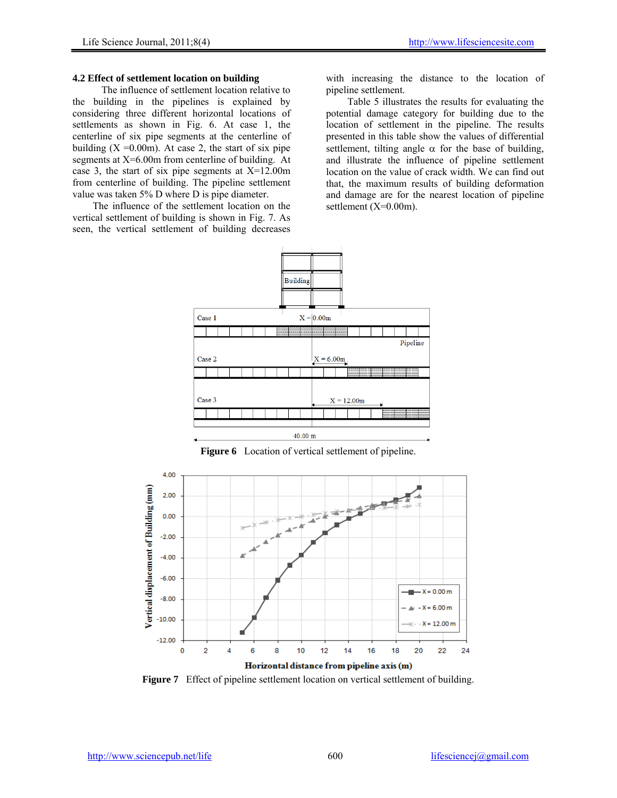### **4.2 Effect of settlement location on building**

The influence of settlement location relative to the building in the pipelines is explained by considering three different horizontal locations of settlements as shown in Fig. 6. At case 1, the centerline of six pipe segments at the centerline of building  $(X = 0.00m)$ . At case 2, the start of six pipe segments at X=6.00m from centerline of building. At case 3, the start of six pipe segments at  $X=12.00$ m from centerline of building. The pipeline settlement value was taken 5% D where D is pipe diameter.

 The influence of the settlement location on the vertical settlement of building is shown in Fig. 7. As seen, the vertical settlement of building decreases

with increasing the distance to the location of pipeline settlement.

Table 5 illustrates the results for evaluating the potential damage category for building due to the location of settlement in the pipeline. The results presented in this table show the values of differential settlement, tilting angle  $\alpha$  for the base of building, and illustrate the influence of pipeline settlement location on the value of crack width. We can find out that, the maximum results of building deformation and damage are for the nearest location of pipeline settlement (X=0.00m).



**Figure 6** Location of vertical settlement of pipeline.



**Figure 7** Effect of pipeline settlement location on vertical settlement of building.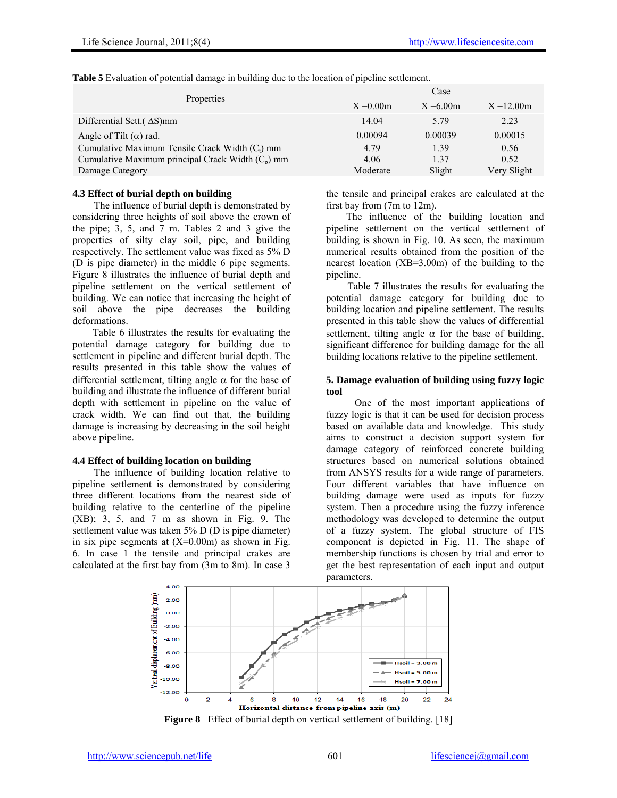|                                                     | Case         |              |               |  |  |  |
|-----------------------------------------------------|--------------|--------------|---------------|--|--|--|
| Properties                                          | $X = 0.00$ m | $X = 6.00$ m | $X = 12.00$ m |  |  |  |
| Differential Sett. $(\Delta S)$ mm                  | 14.04        | 5.79         | 2.23          |  |  |  |
| Angle of Tilt $(\alpha)$ rad.                       | 0.00094      | 0.00039      | 0.00015       |  |  |  |
| Cumulative Maximum Tensile Crack Width $(C_t)$ mm   | 4.79         | 1.39         | 0.56          |  |  |  |
| Cumulative Maximum principal Crack Width $(C_n)$ mm | 4.06         | 1 37         | 0.52          |  |  |  |
| Damage Category                                     | Moderate     | Slight       | Very Slight   |  |  |  |

**Table 5** Evaluation of potential damage in building due to the location of pipeline settlement.

# **4.3 Effect of burial depth on building**

The influence of burial depth is demonstrated by considering three heights of soil above the crown of the pipe; 3, 5, and 7 m. Tables 2 and 3 give the properties of silty clay soil, pipe, and building respectively. The settlement value was fixed as 5% D (D is pipe diameter) in the middle 6 pipe segments. Figure 8 illustrates the influence of burial depth and pipeline settlement on the vertical settlement of building. We can notice that increasing the height of soil above the pipe decreases the building deformations.

 Table 6 illustrates the results for evaluating the potential damage category for building due to settlement in pipeline and different burial depth. The results presented in this table show the values of differential settlement, tilting angle  $\alpha$  for the base of building and illustrate the influence of different burial depth with settlement in pipeline on the value of crack width. We can find out that, the building damage is increasing by decreasing in the soil height above pipeline.

#### **4.4 Effect of building location on building**

The influence of building location relative to pipeline settlement is demonstrated by considering three different locations from the nearest side of building relative to the centerline of the pipeline (XB); 3, 5, and 7 m as shown in Fig. 9. The settlement value was taken 5% D (D is pipe diameter) in six pipe segments at  $(X=0.00m)$  as shown in Fig. 6. In case 1 the tensile and principal crakes are calculated at the first bay from (3m to 8m). In case 3

the tensile and principal crakes are calculated at the first bay from (7m to 12m).

 The influence of the building location and pipeline settlement on the vertical settlement of building is shown in Fig. 10. As seen, the maximum numerical results obtained from the position of the nearest location (XB=3.00m) of the building to the pipeline.

Table 7 illustrates the results for evaluating the potential damage category for building due to building location and pipeline settlement. The results presented in this table show the values of differential settlement, tilting angle  $\alpha$  for the base of building, significant difference for building damage for the all building locations relative to the pipeline settlement.

#### **5. Damage evaluation of building using fuzzy logic tool**

 One of the most important applications of fuzzy logic is that it can be used for decision process based on available data and knowledge. This study aims to construct a decision support system for damage category of reinforced concrete building structures based on numerical solutions obtained from ANSYS results for a wide range of parameters. Four different variables that have influence on building damage were used as inputs for fuzzy system. Then a procedure using the fuzzy inference methodology was developed to determine the output of a fuzzy system. The global structure of FIS component is depicted in Fig. 11. The shape of membership functions is chosen by trial and error to get the best representation of each input and output parameters.



**Figure 8** Effect of burial depth on vertical settlement of building. [18]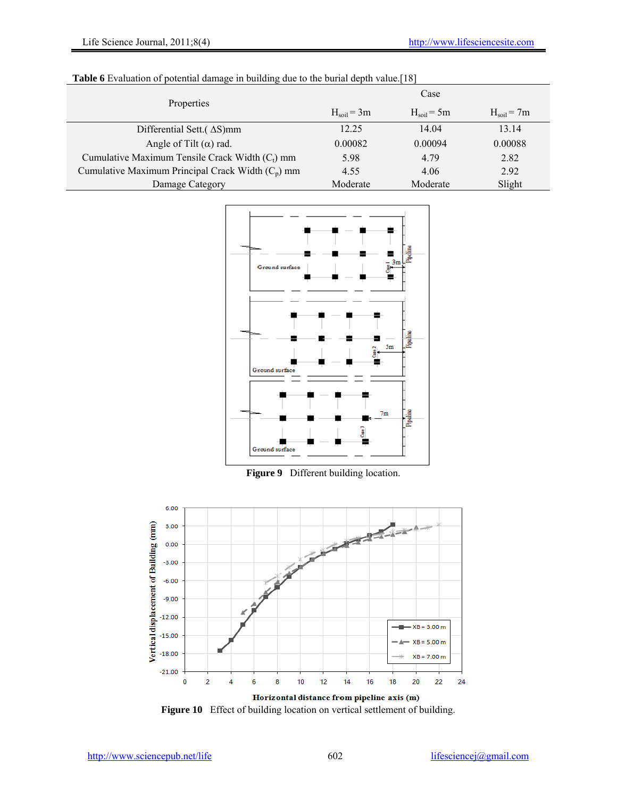| Properties                                          | Case         |              |                        |  |  |  |
|-----------------------------------------------------|--------------|--------------|------------------------|--|--|--|
|                                                     | $Hsoil = 3m$ | $Hsoil = 5m$ | $H_{\text{soil}} = 7m$ |  |  |  |
| Differential Sett. $(\Delta S)$ mm                  | 12.25        | 14.04        | 13.14                  |  |  |  |
| Angle of Tilt $(\alpha)$ rad.                       | 0.00082      | 0.00094      | 0.00088                |  |  |  |
| Cumulative Maximum Tensile Crack Width $(C_t)$ mm   | 5.98         | 4.79         | 2.82                   |  |  |  |
| Cumulative Maximum Principal Crack Width $(C_p)$ mm | 4.55         | 4.06         | 2.92                   |  |  |  |
| Damage Category                                     | Moderate     | Moderate     | Slight                 |  |  |  |





**Figure 9** Different building location.



**Figure 10** Effect of building location on vertical settlement of building.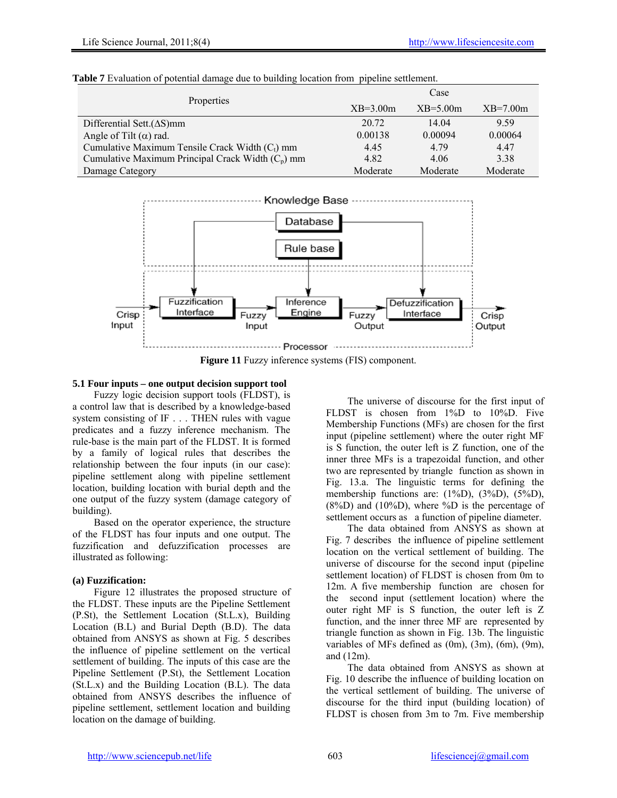|            | <b>Table 7</b> Evaluation of potential damage due to building location from pipeline settlement. |            |            |            |  |  |  |
|------------|--------------------------------------------------------------------------------------------------|------------|------------|------------|--|--|--|
| Properties |                                                                                                  | Case       |            |            |  |  |  |
|            |                                                                                                  | $XB=3.00m$ | $XB=5.00m$ | $XB=7.00m$ |  |  |  |
|            | Differential Sett. $(\Delta S)$ mm                                                               | 20.72      | 14.04      | 9.59       |  |  |  |
|            | Angle of Tilt $(\alpha)$ rad.                                                                    | 0.00138    | 0.00094    | 0.00064    |  |  |  |
|            | Cumulative Maximum Tensile Crack Width $(C_t)$ mm                                                | 4.45       | 4.79       | 4.47       |  |  |  |
|            | Cumulative Maximum Principal Crack Width $(C_n)$ mm                                              | 4.82       | 4.06       | 3.38       |  |  |  |
|            | Damage Category                                                                                  | Moderate   | Moderate   | Moderate   |  |  |  |



**Figure 11** Fuzzy inference systems (FIS) component.

# **5.1 Four inputs – one output decision support tool**

Fuzzy logic decision support tools (FLDST), is a control law that is described by a knowledge-based system consisting of IF . . . THEN rules with vague predicates and a fuzzy inference mechanism. The rule-base is the main part of the FLDST. It is formed by a family of logical rules that describes the relationship between the four inputs (in our case): pipeline settlement along with pipeline settlement location, building location with burial depth and the one output of the fuzzy system (damage category of building).

Based on the operator experience, the structure of the FLDST has four inputs and one output. The fuzzification and defuzzification processes are illustrated as following:

# **(a) Fuzzification:**

Figure 12 illustrates the proposed structure of the FLDST. These inputs are the Pipeline Settlement (P.St), the Settlement Location (St.L.x), Building Location (B.L) and Burial Depth (B.D). The data obtained from ANSYS as shown at Fig. 5 describes the influence of pipeline settlement on the vertical settlement of building. The inputs of this case are the Pipeline Settlement (P.St), the Settlement Location (St.L.x) and the Building Location (B.L). The data obtained from ANSYS describes the influence of pipeline settlement, settlement location and building location on the damage of building.

The universe of discourse for the first input of FLDST is chosen from 1%D to 10%D. Five Membership Functions (MFs) are chosen for the first input (pipeline settlement) where the outer right MF is S function, the outer left is Z function, one of the inner three MFs is a trapezoidal function, and other two are represented by triangle function as shown in Fig. 13.a. The linguistic terms for defining the membership functions are: (1%D), (3%D), (5%D),  $(8\%)$ D) and  $(10\%)$ D), where  $\%$ D is the percentage of settlement occurs as a function of pipeline diameter.

The data obtained from ANSYS as shown at Fig. 7 describes the influence of pipeline settlement location on the vertical settlement of building. The universe of discourse for the second input (pipeline settlement location) of FLDST is chosen from 0m to 12m. A five membership function are chosen for the second input (settlement location) where the outer right MF is S function, the outer left is Z function, and the inner three MF are represented by triangle function as shown in Fig. 13b. The linguistic variables of MFs defined as (0m), (3m), (6m), (9m), and (12m).

The data obtained from ANSYS as shown at Fig. 10 describe the influence of building location on the vertical settlement of building. The universe of discourse for the third input (building location) of FLDST is chosen from 3m to 7m. Five membership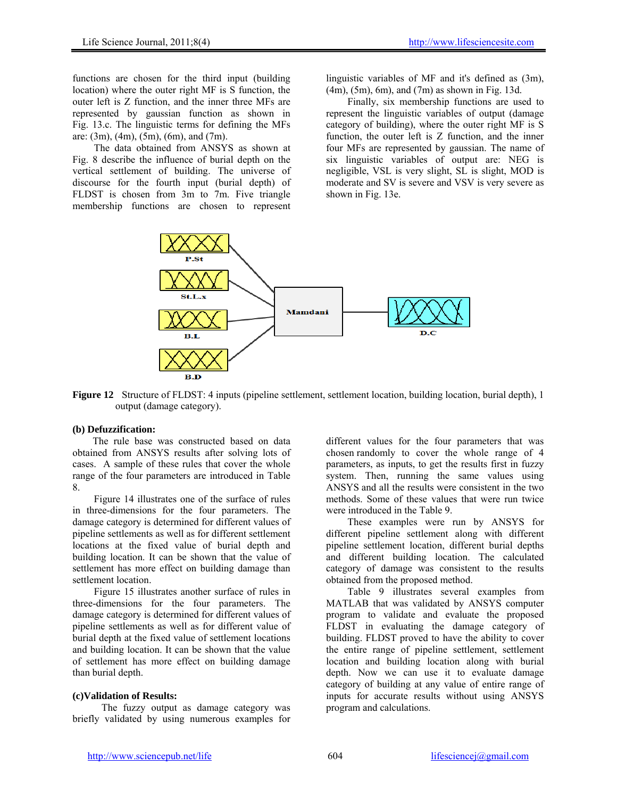functions are chosen for the third input (building location) where the outer right MF is S function, the outer left is Z function, and the inner three MFs are represented by gaussian function as shown in Fig. 13.c. The linguistic terms for defining the MFs are:  $(3m)$ ,  $(4m)$ ,  $(5m)$ ,  $(6m)$ , and  $(7m)$ .

The data obtained from ANSYS as shown at Fig. 8 describe the influence of burial depth on the vertical settlement of building. The universe of discourse for the fourth input (burial depth) of FLDST is chosen from 3m to 7m. Five triangle membership functions are chosen to represent

linguistic variables of MF and it's defined as (3m), (4m), (5m), 6m), and (7m) as shown in Fig. 13d.

Finally, six membership functions are used to represent the linguistic variables of output (damage category of building), where the outer right MF is S function, the outer left is Z function, and the inner four MFs are represented by gaussian. The name of six linguistic variables of output are: NEG is negligible, VSL is very slight, SL is slight, MOD is moderate and SV is severe and VSV is very severe as shown in Fig. 13e.



**Figure 12** Structure of FLDST: 4 inputs (pipeline settlement, settlement location, building location, burial depth), 1 output (damage category).

# **(b) Defuzzification:**

 The rule base was constructed based on data obtained from ANSYS results after solving lots of cases. A sample of these rules that cover the whole range of the four parameters are introduced in Table 8.

Figure 14 illustrates one of the surface of rules in three-dimensions for the four parameters. The damage category is determined for different values of pipeline settlements as well as for different settlement locations at the fixed value of burial depth and building location. It can be shown that the value of settlement has more effect on building damage than settlement location.

Figure 15 illustrates another surface of rules in three-dimensions for the four parameters. The damage category is determined for different values of pipeline settlements as well as for different value of burial depth at the fixed value of settlement locations and building location. It can be shown that the value of settlement has more effect on building damage than burial depth.

# **(c)Validation of Results:**

The fuzzy output as damage category was briefly validated by using numerous examples for

different values for the four parameters that was chosen randomly to cover the whole range of 4 parameters, as inputs, to get the results first in fuzzy system. Then, running the same values using ANSYS and all the results were consistent in the two methods. Some of these values that were run twice were introduced in the Table 9.

These examples were run by ANSYS for different pipeline settlement along with different pipeline settlement location, different burial depths and different building location. The calculated category of damage was consistent to the results obtained from the proposed method.

Table 9 illustrates several examples from MATLAB that was validated by ANSYS computer program to validate and evaluate the proposed FLDST in evaluating the damage category of building. FLDST proved to have the ability to cover the entire range of pipeline settlement, settlement location and building location along with burial depth. Now we can use it to evaluate damage category of building at any value of entire range of inputs for accurate results without using ANSYS program and calculations.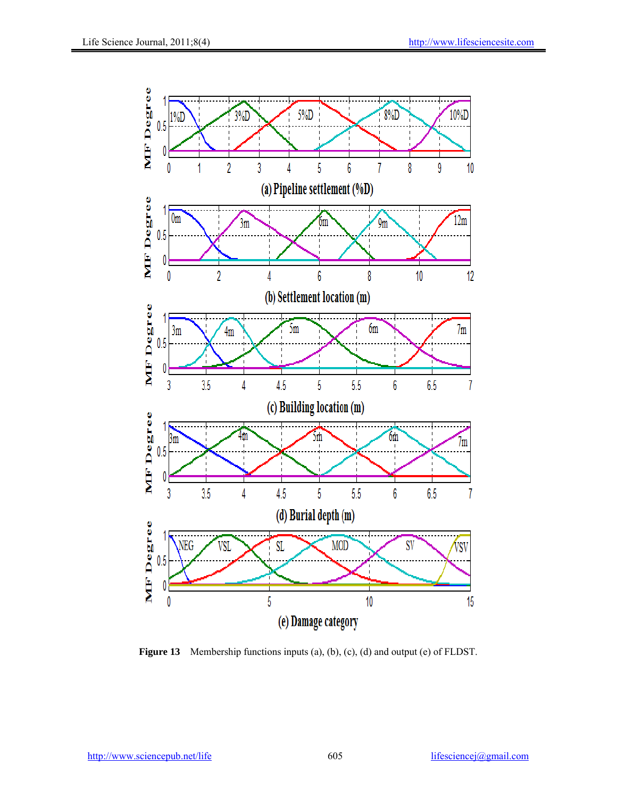

**Figure 13** Membership functions inputs (a), (b), (c), (d) and output (e) of FLDST.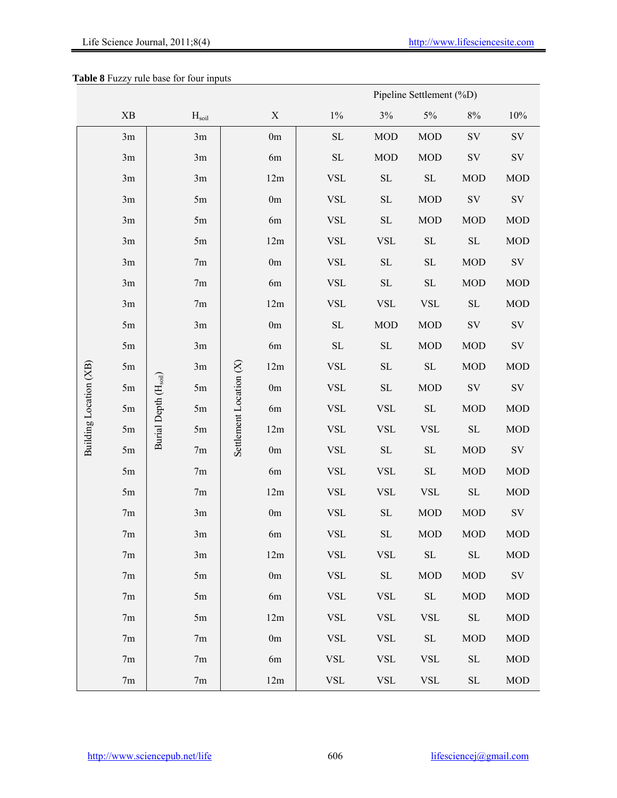# **Table 8** Fuzzy rule base for four inputs

| Pipeline Settlement (%D) |                        |                      |                   |                         |               |             |                     |                     |                     |               |  |
|--------------------------|------------------------|----------------------|-------------------|-------------------------|---------------|-------------|---------------------|---------------------|---------------------|---------------|--|
|                          | $\mathbf{X}\mathbf{B}$ |                      | H <sub>soil</sub> |                         | X             | $1\%$       | $3\%$               | $5\%$               | $8\%$               | $10\%$        |  |
|                          | 3m                     |                      | 3m                |                         | 0m            | ${\rm SL}$  | <b>MOD</b>          | <b>MOD</b>          | $\mathrm{SV}$       | $\mathrm{SV}$ |  |
|                          | 3m                     |                      | 3m                |                         | 6m            | $\rm SL$    | MOD                 | <b>MOD</b>          | $\mathrm{SV}$       | ${\rm SV}$    |  |
|                          | 3m                     |                      | 3m                |                         | 12m           | <b>VSL</b>  | $\rm SL$            | $\operatorname{SL}$ | <b>MOD</b>          | <b>MOD</b>    |  |
|                          | 3m                     |                      | 5m                |                         | 0m            | <b>VSL</b>  | $\operatorname{SL}$ | <b>MOD</b>          | $\mathrm{SV}$       | $\mathrm{SV}$ |  |
|                          | 3m                     |                      | 5m                |                         | 6m            | <b>VSL</b>  | $\rm SL$            | <b>MOD</b>          | <b>MOD</b>          | MOD           |  |
|                          | 3m                     |                      | 5m                |                         | 12m           | <b>VSL</b>  | <b>VSL</b>          | $\rm SL$            | $\rm SL$            | MOD           |  |
|                          | 3m                     |                      | 7m                |                         | 0m            | <b>VSL</b>  | $\rm SL$            | $\operatorname{SL}$ | <b>MOD</b>          | $\mathrm{SV}$ |  |
|                          | 3m                     |                      | 7m                |                         | 6m            | <b>VSL</b>  | $\operatorname{SL}$ | $\operatorname{SL}$ | <b>MOD</b>          | MOD           |  |
|                          | 3m                     |                      | 7m                |                         | 12m           | <b>VSL</b>  | <b>VSL</b>          | <b>VSL</b>          | $\rm SL$            | MOD           |  |
|                          | 5m                     |                      | 3m                |                         | 0m            | $\rm SL$    | <b>MOD</b>          | <b>MOD</b>          | $\mathrm{SV}$       | $\mathrm{SV}$ |  |
|                          | 5m                     |                      | 3m                |                         | 6m            | $\rm SL$    | $\rm SL$            | <b>MOD</b>          | <b>MOD</b>          | $\mathrm{SV}$ |  |
|                          | 5m                     |                      | 3m                |                         | 12m           | <b>VSL</b>  | $\operatorname{SL}$ | $\operatorname{SL}$ | <b>MOD</b>          | MOD           |  |
|                          | 5m                     |                      | 5m                |                         | $0\mathrm{m}$ | <b>VSL</b>  | $\rm SL$            | <b>MOD</b>          | $\mathrm{SV}$       | $\mathrm{SV}$ |  |
|                          | 5m                     |                      | 5m                |                         | 6m            | <b>VSL</b>  | <b>VSL</b>          | $\rm SL$            | <b>MOD</b>          | MOD           |  |
| Building Location (XB)   | 5m                     | Burial Depth (Hsoil) | 5m                | Settlement Location (X) | 12m           | <b>VSL</b>  | <b>VSL</b>          | <b>VSL</b>          | $\rm SL$            | <b>MOD</b>    |  |
|                          | 5m                     |                      | 7m                |                         | $0\mathrm{m}$ | ${\rm VSL}$ | $\operatorname{SL}$ | $\operatorname{SL}$ | $\rm MOD$           | $\mathrm{SV}$ |  |
|                          | 5m                     |                      | 7m                |                         | 6m            | <b>VSL</b>  | <b>VSL</b>          | $\operatorname{SL}$ | <b>MOD</b>          | MOD           |  |
|                          | 5m                     |                      | 7m                |                         | 12m           | <b>VSL</b>  | <b>VSL</b>          | <b>VSL</b>          | $\rm SL$            | <b>MOD</b>    |  |
|                          | 7m                     |                      | 3m                |                         | 0m            | <b>VSL</b>  | $\operatorname{SL}$ | <b>MOD</b>          | <b>MOD</b>          | $\mathrm{SV}$ |  |
|                          | 7m                     |                      | 3m                |                         | 6m            | <b>VSL</b>  | $\rm SL$            | <b>MOD</b>          | <b>MOD</b>          | <b>MOD</b>    |  |
|                          | 7m                     |                      | 3m                |                         | 12m           | <b>VSL</b>  | <b>VSL</b>          | $\operatorname{SL}$ | $\operatorname{SL}$ | <b>MOD</b>    |  |
|                          | 7m                     |                      | 5m                |                         | 0m            | <b>VSL</b>  | $\operatorname{SL}$ | <b>MOD</b>          | <b>MOD</b>          | $\mathrm{SV}$ |  |
|                          | 7 <sub>m</sub>         |                      | 5m                |                         | 6m            | <b>VSL</b>  | <b>VSL</b>          | $\operatorname{SL}$ | <b>MOD</b>          | <b>MOD</b>    |  |
|                          | 7m                     |                      | 5m                |                         | 12m           | <b>VSL</b>  | <b>VSL</b>          | <b>VSL</b>          | $\operatorname{SL}$ | <b>MOD</b>    |  |
|                          | 7m                     |                      | 7m                |                         | 0m            | <b>VSL</b>  | <b>VSL</b>          | ${\rm SL}$          | <b>MOD</b>          | <b>MOD</b>    |  |
|                          | 7m                     |                      | 7m                |                         | 6m            | <b>VSL</b>  | <b>VSL</b>          | <b>VSL</b>          | $\rm SL$            | <b>MOD</b>    |  |
|                          | 7m                     |                      | 7m                |                         | 12m           | ${\rm VSL}$ | <b>VSL</b>          | <b>VSL</b>          | $\operatorname{SL}$ | <b>MOD</b>    |  |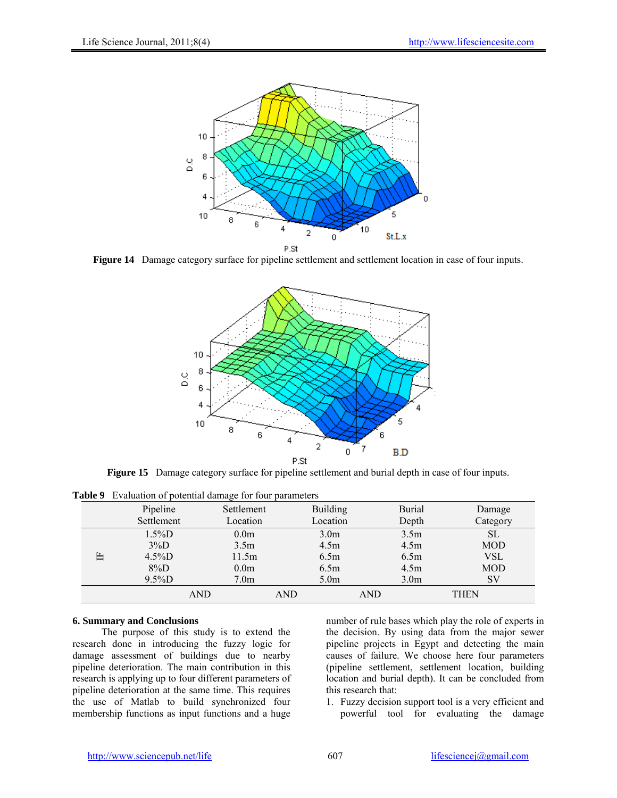

**Figure 14** Damage category surface for pipeline settlement and settlement location in case of four inputs.



**Figure 15** Damage category surface for pipeline settlement and burial depth in case of four inputs.

|   | Pipeline   | P <sub>0</sub><br>Settlement | <b>Building</b>  | <b>Burial</b>    | Damage      |
|---|------------|------------------------------|------------------|------------------|-------------|
|   | Settlement | Location                     | Location         | Depth            | Category    |
|   | $1.5\%D$   | 0.0 <sub>m</sub>             | 3.0 <sub>m</sub> | 3.5 <sub>m</sub> | SL          |
|   | $3\%D$     | 3.5 <sub>m</sub>             | 4.5m             | 4.5m             | <b>MOD</b>  |
| Е | $4.5\%D$   | 11.5m                        | 6.5m             | 6.5m             | VSL         |
|   | $8\%D$     | 0.0 <sub>m</sub>             | 6.5m             | 4.5m             | <b>MOD</b>  |
|   | $9.5\%D$   | 7.0 <sub>m</sub>             | 5.0 <sub>m</sub> | 3.0 <sub>m</sub> | SV          |
|   | AND        |                              | AND              | AND              | <b>THEN</b> |

**Table 9** Evaluation of potential damage for four parameters

# **6. Summary and Conclusions**

The purpose of this study is to extend the research done in introducing the fuzzy logic for damage assessment of buildings due to nearby pipeline deterioration. The main contribution in this research is applying up to four different parameters of pipeline deterioration at the same time. This requires the use of Matlab to build synchronized four membership functions as input functions and a huge

number of rule bases which play the role of experts in the decision. By using data from the major sewer pipeline projects in Egypt and detecting the main causes of failure. We choose here four parameters (pipeline settlement, settlement location, building location and burial depth). It can be concluded from this research that:

1. Fuzzy decision support tool is a very efficient and powerful tool for evaluating the damage